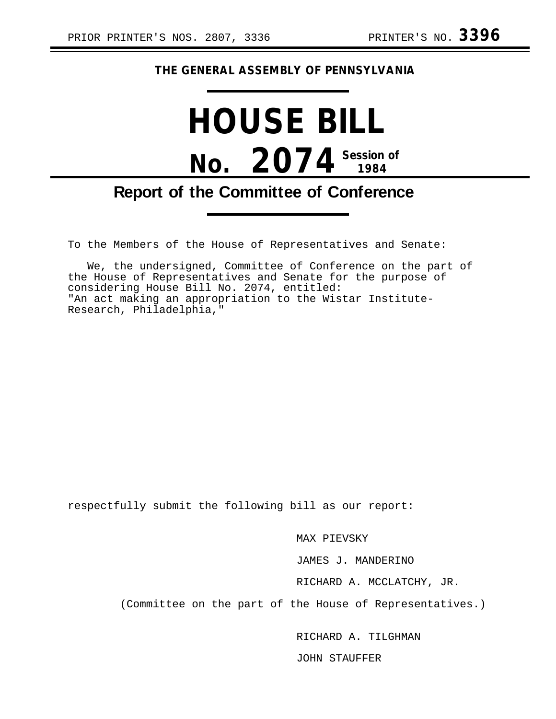#### **THE GENERAL ASSEMBLY OF PENNSYLVANIA**

# **HOUSE BILL No. 2074 Session of 1984**

### **Report of the Committee of Conference**

To the Members of the House of Representatives and Senate:

We, the undersigned, Committee of Conference on the part of the House of Representatives and Senate for the purpose of considering House Bill No. 2074, entitled: "An act making an appropriation to the Wistar Institute-Research, Philadelphia,"

respectfully submit the following bill as our report:

MAX PIEVSKY

JAMES J. MANDERINO

RICHARD A. MCCLATCHY, JR.

(Committee on the part of the House of Representatives.)

RICHARD A. TILGHMAN

JOHN STAUFFER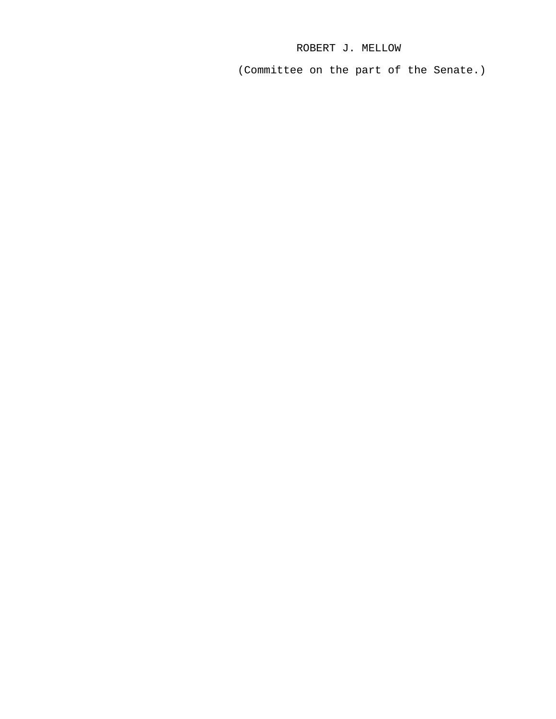#### ROBERT J. MELLOW

(Committee on the part of the Senate.)